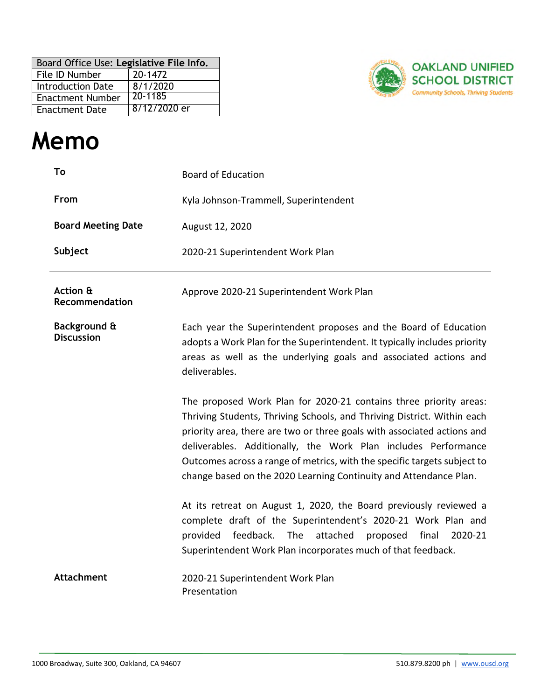| Board Office Use: Legislative File Info. |              |  |
|------------------------------------------|--------------|--|
| File ID Number                           | 20-1472      |  |
| <b>Introduction Date</b>                 | 8/1/2020     |  |
| <b>Enactment Number</b>                  | 20-1185      |  |
| <b>Enactment Date</b>                    | 8/12/2020 er |  |



# **Memo**

| To                                | <b>Board of Education</b>                                                                                                                                                                                                                                                                                                                                                                                                                  |  |
|-----------------------------------|--------------------------------------------------------------------------------------------------------------------------------------------------------------------------------------------------------------------------------------------------------------------------------------------------------------------------------------------------------------------------------------------------------------------------------------------|--|
| From                              | Kyla Johnson-Trammell, Superintendent                                                                                                                                                                                                                                                                                                                                                                                                      |  |
| <b>Board Meeting Date</b>         | August 12, 2020                                                                                                                                                                                                                                                                                                                                                                                                                            |  |
| Subject                           | 2020-21 Superintendent Work Plan                                                                                                                                                                                                                                                                                                                                                                                                           |  |
| Action &<br>Recommendation        | Approve 2020-21 Superintendent Work Plan                                                                                                                                                                                                                                                                                                                                                                                                   |  |
| Background &<br><b>Discussion</b> | Each year the Superintendent proposes and the Board of Education<br>adopts a Work Plan for the Superintendent. It typically includes priority<br>areas as well as the underlying goals and associated actions and<br>deliverables.                                                                                                                                                                                                         |  |
|                                   | The proposed Work Plan for 2020-21 contains three priority areas:<br>Thriving Students, Thriving Schools, and Thriving District. Within each<br>priority area, there are two or three goals with associated actions and<br>deliverables. Additionally, the Work Plan includes Performance<br>Outcomes across a range of metrics, with the specific targets subject to<br>change based on the 2020 Learning Continuity and Attendance Plan. |  |
|                                   | At its retreat on August 1, 2020, the Board previously reviewed a<br>complete draft of the Superintendent's 2020-21 Work Plan and<br>feedback.<br>The<br>attached<br>provided<br>proposed<br>final<br>2020-21<br>Superintendent Work Plan incorporates much of that feedback.                                                                                                                                                              |  |
| <b>Attachment</b>                 | 2020-21 Superintendent Work Plan<br>Presentation                                                                                                                                                                                                                                                                                                                                                                                           |  |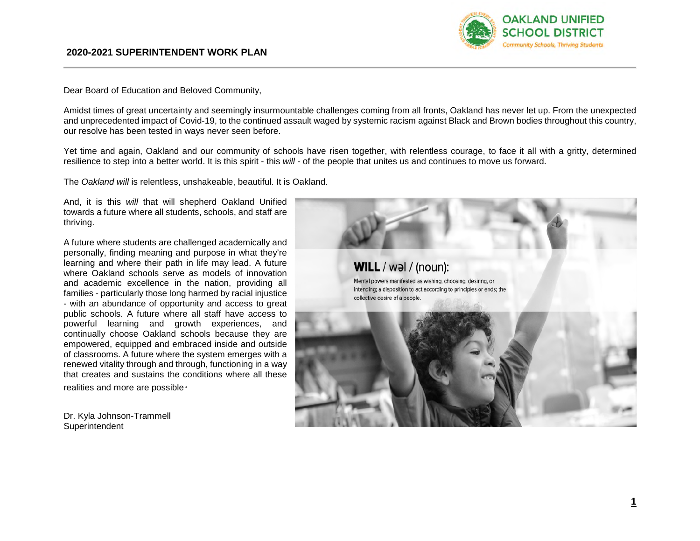

Dear Board of Education and Beloved Community,

Amidst times of great uncertainty and seemingly insurmountable challenges coming from all fronts, Oakland has never let up. From the unexpected and unprecedented impact of Covid-19, to the continued assault waged by systemic racism against Black and Brown bodies throughout this country, our resolve has been tested in ways never seen before.

Yet time and again, Oakland and our community of schools have risen together, with relentless courage, to face it all with a gritty, determined resilience to step into a better world. It is this spirit - this *will* - of the people that unites us and continues to move us forward.

The *Oakland will* is relentless, unshakeable, beautiful. It is Oakland.

And, it is this *will* that will shepherd Oakland Unified towards a future where all students, schools, and staff are thriving.

A future where students are challenged academically and personally, finding meaning and purpose in what they're learning and where their path in life may lead. A future where Oakland schools serve as models of innovation and academic excellence in the nation, providing all families - particularly those long harmed by racial injustice - with an abundance of opportunity and access to great public schools. A future where all staff have access to powerful learning and growth experiences, and continually choose Oakland schools because they are empowered, equipped and embraced inside and outside of classrooms. A future where the system emerges with a renewed vitality through and through, functioning in a way that creates and sustains the conditions where all these realities and more are possible*.* 

Dr. Kyla Johnson-Trammell **Superintendent** 

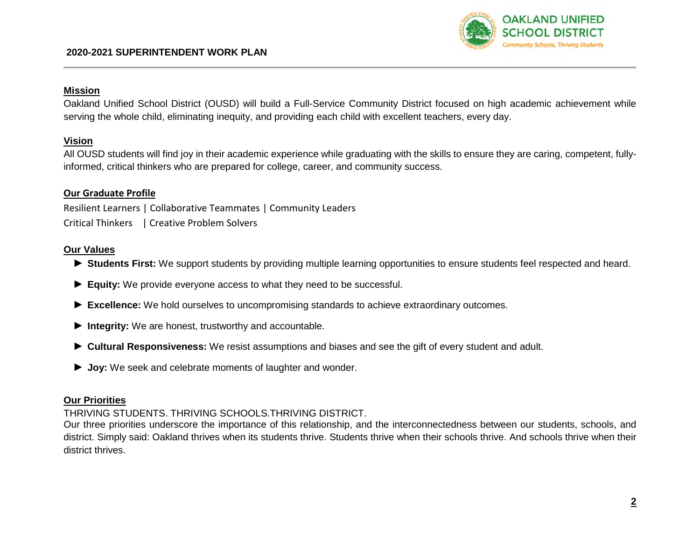

#### **Mission**

Oakland Unified School District (OUSD) will build a Full-Service Community District focused on high academic achievement while serving the whole child, eliminating inequity, and providing each child with excellent teachers, every day.

### **Vision**

All OUSD students will find joy in their academic experience while graduating with the skills to ensure they are caring, competent, fullyinformed, critical thinkers who are prepared for college, career, and community success.

## **Our Graduate Profile**

Resilient Learners | Collaborative Teammates | Community Leaders Critical Thinkers | Creative Problem Solvers

### **Our Values**

- ► **Students First:** We support students by providing multiple learning opportunities to ensure students feel respected and heard.
- ► **Equity:** We provide everyone access to what they need to be successful.
- ► **Excellence:** We hold ourselves to uncompromising standards to achieve extraordinary outcomes.
- ► **Integrity:** We are honest, trustworthy and accountable.
- ► **Cultural Responsiveness:** We resist assumptions and biases and see the gift of every student and adult.
- ► **Joy:** We seek and celebrate moments of laughter and wonder.

#### **Our Priorities**

## THRIVING STUDENTS. THRIVING SCHOOLS.THRIVING DISTRICT.

Our three priorities underscore the importance of this relationship, and the interconnectedness between our students, schools, and district. Simply said: Oakland thrives when its students thrive. Students thrive when their schools thrive. And schools thrive when their district thrives.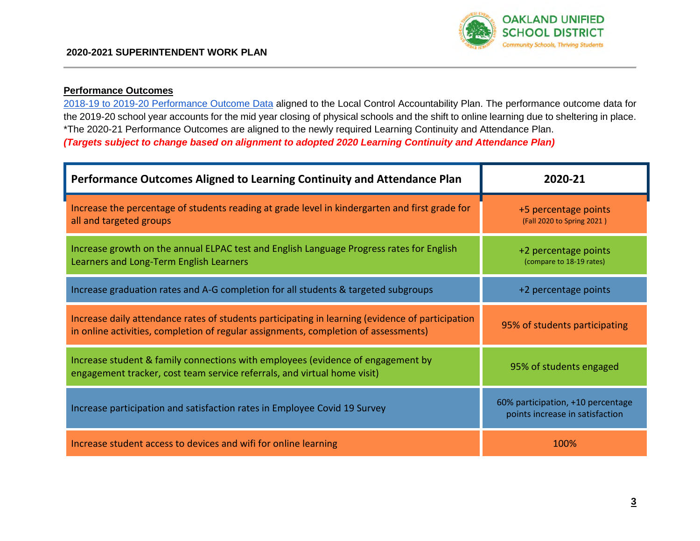

# **Performance Outcomes**

2018-19 to 2019-20 Performance Outcome Data aligned to the Local Control Accountability Plan. The performance outcome data for the 2019-20 school year accounts for the mid year closing of physical schools and the shift to online learning due to sheltering in place. \*The 2020-21 Performance Outcomes are aligned to the newly required Learning Continuity and Attendance Plan. *(Targets subject to change based on alignment to adopted 2020 Learning Continuity and Attendance Plan)* 

| Performance Outcomes Aligned to Learning Continuity and Attendance Plan                                                                                                                 | 2020-21                                                              |
|-----------------------------------------------------------------------------------------------------------------------------------------------------------------------------------------|----------------------------------------------------------------------|
| Increase the percentage of students reading at grade level in kindergarten and first grade for<br>all and targeted groups                                                               | +5 percentage points<br>(Fall 2020 to Spring 2021)                   |
| Increase growth on the annual ELPAC test and English Language Progress rates for English<br>Learners and Long-Term English Learners                                                     | +2 percentage points<br>(compare to 18-19 rates)                     |
| Increase graduation rates and A-G completion for all students & targeted subgroups                                                                                                      | +2 percentage points                                                 |
| Increase daily attendance rates of students participating in learning (evidence of participation<br>in online activities, completion of regular assignments, completion of assessments) | 95% of students participating                                        |
| Increase student & family connections with employees (evidence of engagement by<br>engagement tracker, cost team service referrals, and virtual home visit)                             | 95% of students engaged                                              |
| Increase participation and satisfaction rates in Employee Covid 19 Survey                                                                                                               | 60% participation, +10 percentage<br>points increase in satisfaction |
| Increase student access to devices and wifi for online learning                                                                                                                         | 100%                                                                 |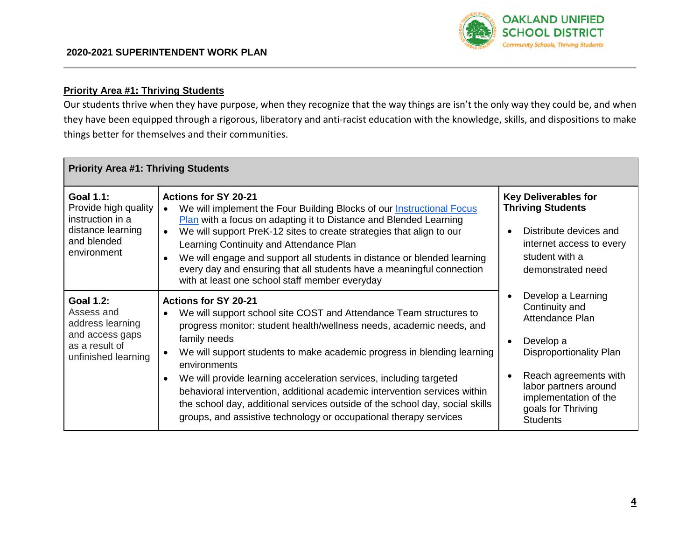

## **Priority Area #1: Thriving Students**

Our students thrive when they have purpose, when they recognize that the way things are isn't the only way they could be, and when they have been equipped through a rigorous, liberatory and anti-racist education with the knowledge, skills, and dispositions to make things better for themselves and their communities.

| <b>Priority Area #1: Thriving Students</b>                                                                      |                                                                                                                                                                                                                                                                                                                                                                                                                                                                                                                                                                                              |                                                                                                                                                                                                                     |  |  |
|-----------------------------------------------------------------------------------------------------------------|----------------------------------------------------------------------------------------------------------------------------------------------------------------------------------------------------------------------------------------------------------------------------------------------------------------------------------------------------------------------------------------------------------------------------------------------------------------------------------------------------------------------------------------------------------------------------------------------|---------------------------------------------------------------------------------------------------------------------------------------------------------------------------------------------------------------------|--|--|
| <b>Goal 1.1:</b><br>Provide high quality<br>instruction in a<br>distance learning<br>and blended<br>environment | <b>Actions for SY 20-21</b><br>We will implement the Four Building Blocks of our Instructional Focus<br><b>Plan</b> with a focus on adapting it to Distance and Blended Learning<br>We will support PreK-12 sites to create strategies that align to our<br>$\bullet$<br>Learning Continuity and Attendance Plan<br>We will engage and support all students in distance or blended learning<br>every day and ensuring that all students have a meaningful connection<br>with at least one school staff member everyday                                                                       | <b>Key Deliverables for</b><br><b>Thriving Students</b><br>Distribute devices and<br>internet access to every<br>student with a<br>demonstrated need                                                                |  |  |
| <b>Goal 1.2:</b><br>Assess and<br>address learning<br>and access gaps<br>as a result of<br>unfinished learning  | <b>Actions for SY 20-21</b><br>We will support school site COST and Attendance Team structures to<br>progress monitor: student health/wellness needs, academic needs, and<br>family needs<br>We will support students to make academic progress in blending learning<br>environments<br>We will provide learning acceleration services, including targeted<br>behavioral intervention, additional academic intervention services within<br>the school day, additional services outside of the school day, social skills<br>groups, and assistive technology or occupational therapy services | Develop a Learning<br>Continuity and<br>Attendance Plan<br>Develop a<br>Disproportionality Plan<br>Reach agreements with<br>labor partners around<br>implementation of the<br>goals for Thriving<br><b>Students</b> |  |  |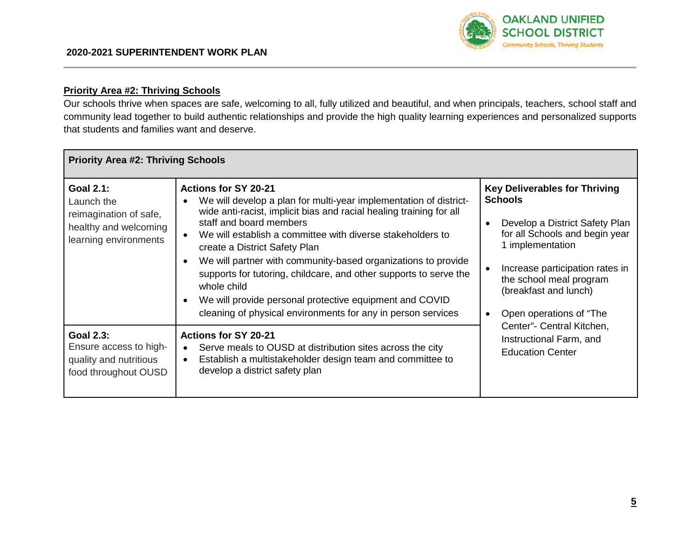

# **Priority Area #2: Thriving Schools**

Our schools thrive when spaces are safe, welcoming to all, fully utilized and beautiful, and when principals, teachers, school staff and community lead together to build authentic relationships and provide the high quality learning experiences and personalized supports that students and families want and deserve.

| <b>Priority Area #2: Thriving Schools</b>                                                                  |                                                                                                                                                                                                                                                                                                                                                                                                                                                                                                                                                                                   |                                                                                                                                                                                                                                                                                                                                                     |  |  |
|------------------------------------------------------------------------------------------------------------|-----------------------------------------------------------------------------------------------------------------------------------------------------------------------------------------------------------------------------------------------------------------------------------------------------------------------------------------------------------------------------------------------------------------------------------------------------------------------------------------------------------------------------------------------------------------------------------|-----------------------------------------------------------------------------------------------------------------------------------------------------------------------------------------------------------------------------------------------------------------------------------------------------------------------------------------------------|--|--|
| <b>Goal 2.1:</b><br>Launch the<br>reimagination of safe,<br>healthy and welcoming<br>learning environments | <b>Actions for SY 20-21</b><br>We will develop a plan for multi-year implementation of district-<br>wide anti-racist, implicit bias and racial healing training for all<br>staff and board members<br>We will establish a committee with diverse stakeholders to<br>create a District Safety Plan<br>We will partner with community-based organizations to provide<br>supports for tutoring, childcare, and other supports to serve the<br>whole child<br>We will provide personal protective equipment and COVID<br>cleaning of physical environments for any in person services | <b>Key Deliverables for Thriving</b><br><b>Schools</b><br>Develop a District Safety Plan<br>for all Schools and begin year<br>1 implementation<br>Increase participation rates in<br>the school meal program<br>(breakfast and lunch)<br>Open operations of "The<br>Center"- Central Kitchen,<br>Instructional Farm, and<br><b>Education Center</b> |  |  |
| <b>Goal 2.3:</b><br>Ensure access to high-<br>quality and nutritious<br>food throughout OUSD               | <b>Actions for SY 20-21</b><br>Serve meals to OUSD at distribution sites across the city<br>Establish a multistakeholder design team and committee to<br>develop a district safety plan                                                                                                                                                                                                                                                                                                                                                                                           |                                                                                                                                                                                                                                                                                                                                                     |  |  |